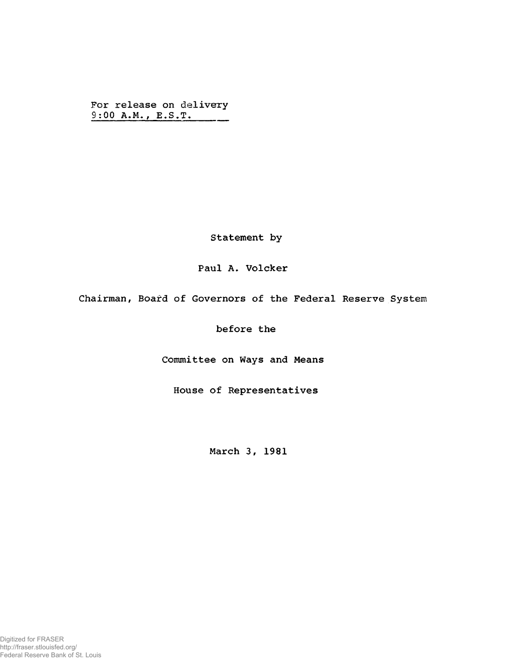For release on delivery 9:00 A.M., E.S.T.

Statement by

## Paul A. Volcker

Chairman, Board of Governors of the Federal Reserve System

before the

Committee on Ways and Means

House of Representatives

March 3, 1981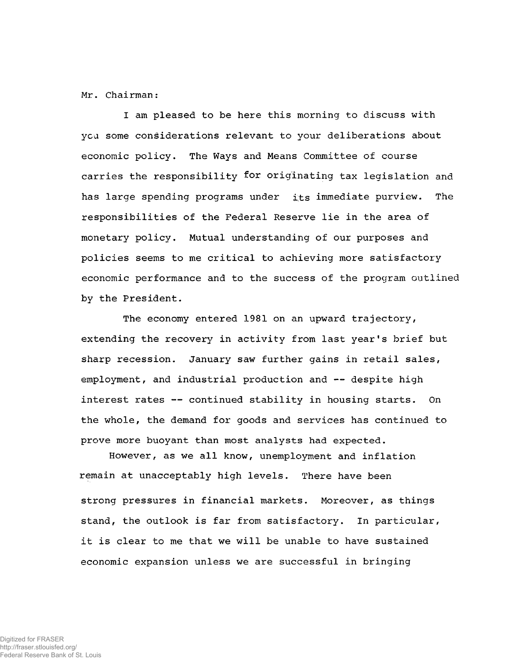Mr. Chairman:

I am pleased to be here this morning to discuss with ycu some considerations relevant to your deliberations about economic policy. The Ways and Means Committee of course carries the responsibility for originating tax legislation and has large spending programs under its immediate purview. The responsibilities of the Federal Reserve lie in the area of monetary policy. Mutual understanding of our purposes and policies seems to me critical to achieving more satisfactory economic performance and to the success of the program outlined by the President.

The economy entered 1981 on an upward trajectory, extending the recovery in activity from last year's brief but sharp recession. January saw further gains in retail sales, employment, and industrial production and — despite high interest rates —- continued stability in housing starts. On the whole, the demand for goods and services has continued to prove more buoyant than most analysts had expected.

However, as we all know, unemployment and inflation remain at unacceptably high levels. There have been strong pressures in financial markets. Moreover, as things stand, the outlook is far from satisfactory. In particular, it is clear to me that we will be unable to have sustained economic expansion unless we are successful in bringing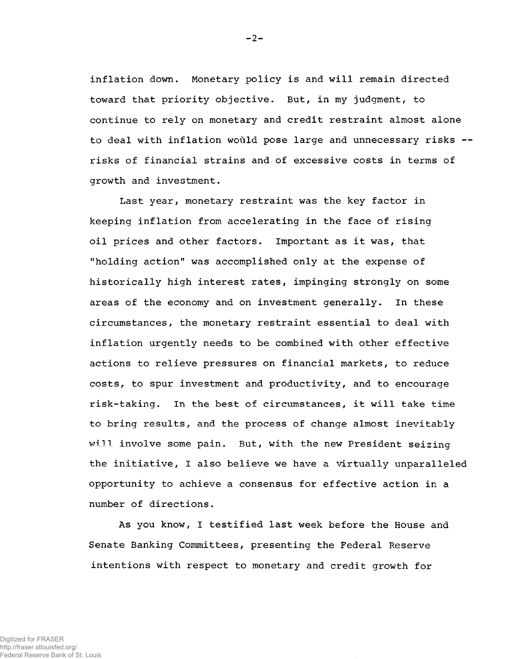inflation down. Monetary policy is and will remain directed toward that priority objective. But, in my judgment, to continue to rely on monetary and credit restraint almost alone to deal with inflation would pose large and unnecessary risks -risks of financial strains and>of excessive costs in terms of growth and investment.

Last year, monetary restraint was the key factor in keeping inflation from accelerating in the face of rising oil prices and other factors. Important as it was, that "holding action" was accomplished only at the expense of historically high interest rates, impinging strongly on some areas of the economy and on investment generally. In these circumstances, the monetary restraint essential to deal with inflation urgently needs to be combined with other effective actions to relieve pressures on financial markets, to reduce costs, to spur investment and productivity, and to encourage risk-taking. In the best of circumstances, it will take time to bring results, and the process of change almost inevitably will involve some pain. But, with the new President seizing the initiative, I also believe we have a virtually unparalleled opportunity to achieve a consensus for effective action in a number of directions.

As you know, I testified last week before the House and Senate Banking Committees, presenting the Federal Reserve intentions with respect to monetary and credit growth for

 $-2-$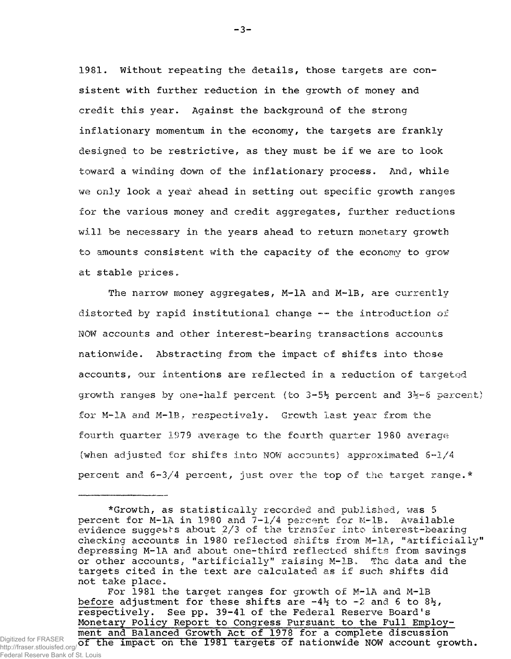1981. Without repeating the details, those targets are consistent with further reduction in the growth of money and credit this year. Against the background of the strong inflationary momentum in the economy, the targets are frankly designed to be restrictive, as they must be if we are to look toward a winding down of the inflationary process. And, while we only look a year ahead in setting out specific growth ranges for the various money and credit aggregates, further reductions will be necessary in the years ahead to return monetary growth to amounts consistent with the capacity of the economy to grow at stable prices.

The narrow money aggregates, M-1A and M-1B, are currently distorted by rapid institutional change — the introduction of NOW accounts and other interest-bearing transactions accounts nationwide. Abstracting from the impact of shifts into those accounts, our intentions are reflected in a reduction of targeted growth ranges by one-half percent (to  $3-5\frac{1}{2}$  percent and  $3\frac{1}{2}-6$  percent) for M-1A and M-1B, respectively. Growth last year from the fourth quarter 1979 average to the fourth quarter 1980 average (when adjusted for shifts into NOW accounts) approximated  $6-1/4$ percent and  $6-3/4$  percent, just over the top of the target range.\*

For 1981 the target ranges for growth of M-1A and M-1B before adjustment for these shifts are  $-4\frac{1}{2}$  to  $-2$  and 6 to  $8\frac{1}{2}$ , respectively. See pp. 39-41 of the Federal Reserve Board's Monetary Policy Report to Congress Pursuant to the Full Employment and Balanced Growth Act of 1978 for a complete discussion

Digitized for FRASER  $\overline{\text{of}}$  the impact on the 1981 targets of nationwide NOW account growth. http://fraser.stlouisfed.org/ Federal Reserve Bank of St. Louis

-3-

<sup>\*</sup>Growth, as statistically recorded and published, was 5 percent for M-1A in 1980 and 7-1/4 percent for M-lB. Available evidence suggests about 2/3 of the transfer into interest-bearing checking accounts in 1980 reflected shifts from M-lA, "artificially" depressing M-1A and about one-third reflected shifts from savings or other accounts, "artificially" raising M-1B. The data and the targets cited in the text are calculated as if such shifts did not take place»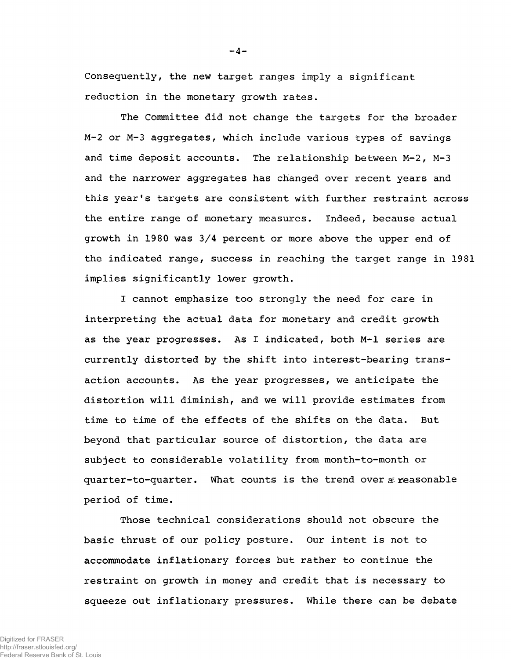Consequently, the new target ranges imply a significant reduction in the monetary growth rates.

The Committee did not change the targets for the broader M~2 or M-3 aggregates, which include various types of savings and time deposit accounts. The relationship between M-2, M-3 and the narrower aggregates has changed over recent years and this year's targets are consistent with further restraint across the entire range of monetary measures. Indeed, because actual growth in 1980 was 3/4 percent or more above the upper end of the indicated range, success in reaching the target range in 1981 implies significantly lower growth.

I cannot emphasize too strongly the need for care in interpreting the actual data for monetary and credit growth as the year progresses. As I indicated, both M-l series are currently distorted by the shift into interest-bearing transaction accounts. As the year progresses, we anticipate the distortion will diminish, and we will provide estimates from time to time of the effects of the shifts on the data. But beyond that particular source of distortion, the data are subject to considerable volatility from month-to-month or quarter-to-quarter. What counts is the trend over  $\tilde{x}$  reasonable period of time.

Those technical considerations should not obscure the basic thrust of our policy posture. Our intent is not to accommodate inflationary forces but rather to continue the restraint on growth in money and credit that is necessary to squeeze out inflationary pressures. While there can be debate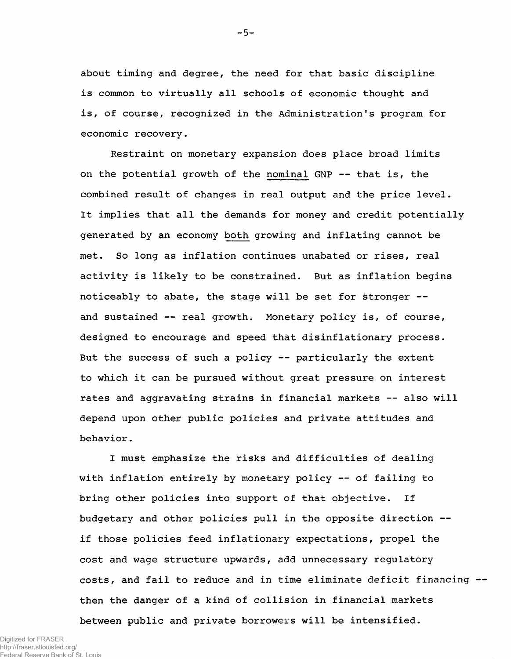about timing and degree, the need for that basic discipline is common to virtually all schools of economic thought and is, of course, recognized in the Administration's program for economic recovery.

Restraint on monetary expansion does place broad limits on the potential growth of the nominal GNP — that is, the combined result of changes in real output and the price level. It implies that all the demands for money and credit potentially generated by an economy both growing and inflating cannot be met. So long as inflation continues unabated or rises, real activity is likely to be constrained. But as inflation begins noticeably to abate, the stage will be set for stronger and sustained — real growth. Monetary policy is, of course, designed to encourage and speed that disinflationary process. But the success of such a policy — particularly the extent to which it can be pursued without great pressure on interest rates and aggravating strains in financial markets — also will depend upon other public policies and private attitudes and behavior.

I must emphasize the risks and difficulties of dealing with inflation entirely by monetary policy — of failing to bring other policies into support of that objective. If budgetary and other policies pull in the opposite direction if those policies feed inflationary expectations, propel the cost and wage structure upwards, add unnecessary regulatory costs, and fail to reduce and in time eliminate deficit financing then the danger of a kind of collision in financial markets between public and private borrowers will be intensified.

 $-5-$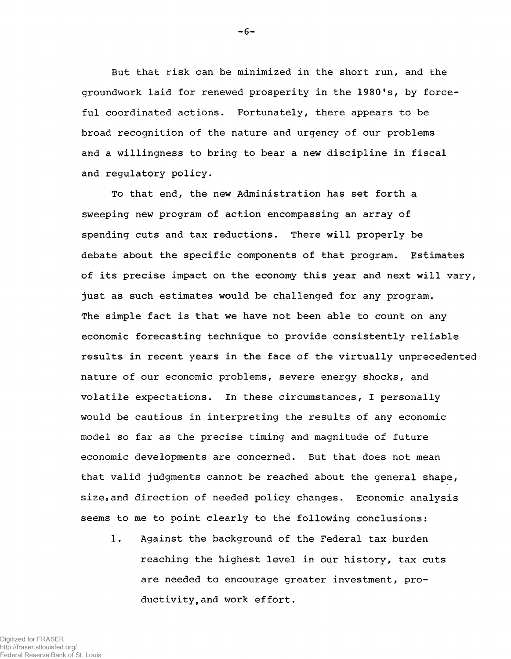But that risk can be minimized in the short run, and the groundwork laid for renewed prosperity in the 1980 's, by forceful coordinated actions. Fortunately, there appears to be broad recognition of the nature and urgency of our problems and a willingness to bring to bear a new discipline in fiscal and regulatory policy.

To that end, the new Administration has set forth a sweeping new program of action encompassing an array of spending cuts and tax reductions. There will properly be debate about the specific components of that program. Estimates of its precise impact on the economy this year and next will vary, just as such estimates would be challenged for any program. The simple fact is that we have not been able to count on any economic forecasting technique to provide consistently reliable results in recent years in the face of the virtually unprecedented nature of our economic problems, severe energy shocks, and volatile expectations. In these circumstances, I personally would be cautious in interpreting the results of any economic model so far as the precise timing and magnitude of future economic developments are concerned. But that does not mean that valid judgments cannot be reached about the general shape, size, and direction of needed policy changes. Economic analysis seems to me to point clearly to the following conclusions:

1. Against the background of the Federal tax burden reaching the highest level in our history, tax cuts are needed to encourage greater investment, productivity, and work effort.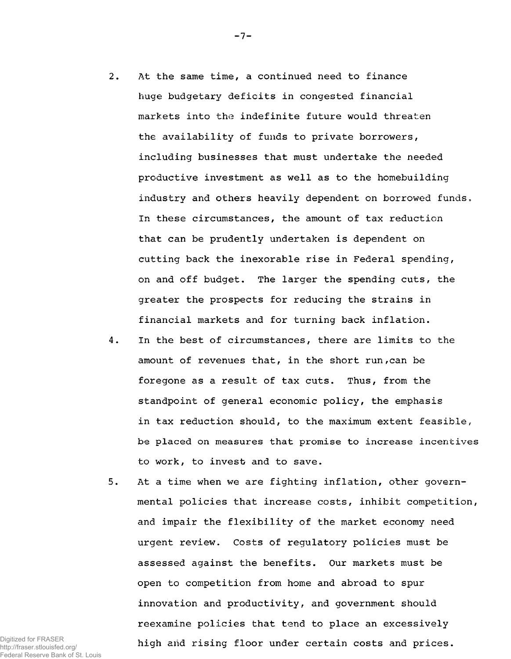- 2. At the same time, a continued need to finance huge budgetary deficits in congested financial markets into the indefinite future would threaten the availability of funds to private borrowers, including businesses that must undertake the needed productive investment as well as to the homebuilding industry and others heavily dependent on borrowed funds. In these circumstances, the amount of tax reduction that can be prudently undertaken is dependent on cutting back the inexorable rise in Federal spending, on and off budget. The larger the spending cuts, the greater the prospects for reducing the strains in financial markets and for turning back inflation.
- 4. In the best of circumstances, there are limits to the amount of revenues that, in the short run,can be foregone as a result of tax cuts. Thus, from the standpoint of general economic policy, the emphasis in tax reduction should, to the maximum extent feasible, be placed on measures that promise to increase incentives to work, to invest and to save.
- 5. At a time when we are fighting inflation, other governmental policies that increase costs, inhibit competition, and impair the flexibility of the market economy need urgent review. Costs of regulatory policies must be assessed against the benefits. Our markets must be open to competition from home and abroad to spur innovation and productivity, and government should reexamine policies that tend to place an excessively high and rising floor under certain costs and prices.

Digitized for FRASER http://fraser.stlouisfed.org/ Federal Reserve Bank of St. Louis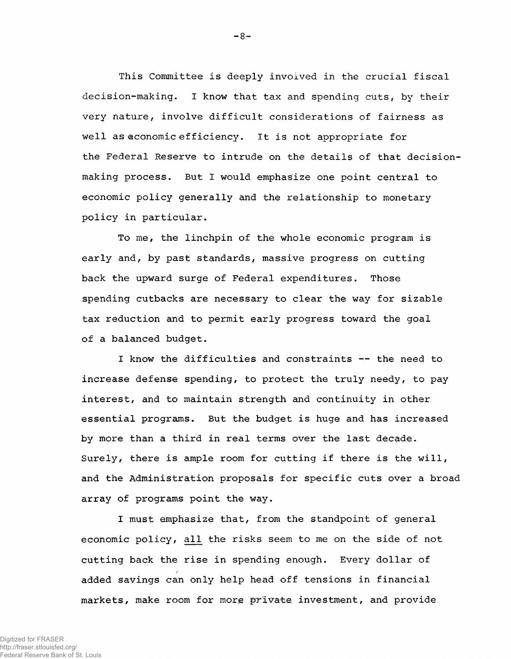This Committee is deeply involved in the crucial fiscal decision-making. I know that tax and spending cuts, by their very nature, involve difficult considerations of fairness as well as economic efficiency. It is not appropriate for the Federal Reserve to intrude on the details of that decisionmaking process. But I would emphasize one point central to economic policy generally and the relationship to monetary policy in particular.

To me, the linchpin of the whole economic program is early and, by past standards, massive progress on cutting back the upward surge of Federal expenditures. Those spending cutbacks are necessary to clear the way for sizable tax reduction and to permit early progress toward the goal of a balanced budget.

I know the difficulties and constraints — the need to increase defense spending, to protect the truly needy, to pay interest, and to maintain strength and continuity in other essential programs. But the budget is huge and has increased by more than a third in real terms over the last decade. Surely, there is ample room for cutting if there is the will, and the Administration proposals for specific cuts over a broad array of programs point the way.

I must emphasize that, from the standpoint of general economic policy, all the risks seem to me on the side of not cutting back the rise in spending enough. Every dollar of added savings can only help head off tensions in financial markets, make room for more private investment, and provide

http://fraser.stlouisfed.org/ Federal Reserve Bank of St. Louis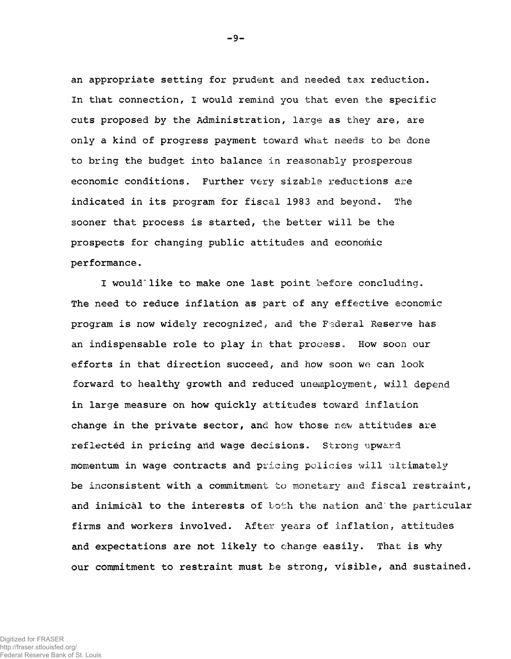an appropriate setting for prudent and needed tax reduction. In that connection, I would remind you that even the specific cuts proposed by the Administration, large as they are, are only a kind of progress payment toward what needs to be done to bring the budget into balance in reasonably prosperous economic conditions. Further very sizable reductions are indicated in its program for fiscal 1983 and beyond. The sooner that process is started, the better will be the prospects for changing public attitudes and economic performance.

I would like to make one last point before concluding. The need to reduce inflation as part of any effective economic program is now widely recognized, and the Federal Reserve has an indispensable role to play in that process. How soon our efforts in that direction succeed, and how soon we can look forward to healthy growth and reduced unemployment, will depend in large measure on how quickly attitudes toward inflation change in the private sector, and how those new attitudes are reflected in pricing and wage decisions. Strong upward momentum in wage contracts and pricing policies will ultimately be inconsistent with a commitment to monetary and fiscal restraint, and inimical to the interests of both the nation and the particular firms and workers involved. After years of inflation, attitudes and expectations are not likely to change easily. That is why our commitment to restraint must be strong, visible, and sustained.

-9-